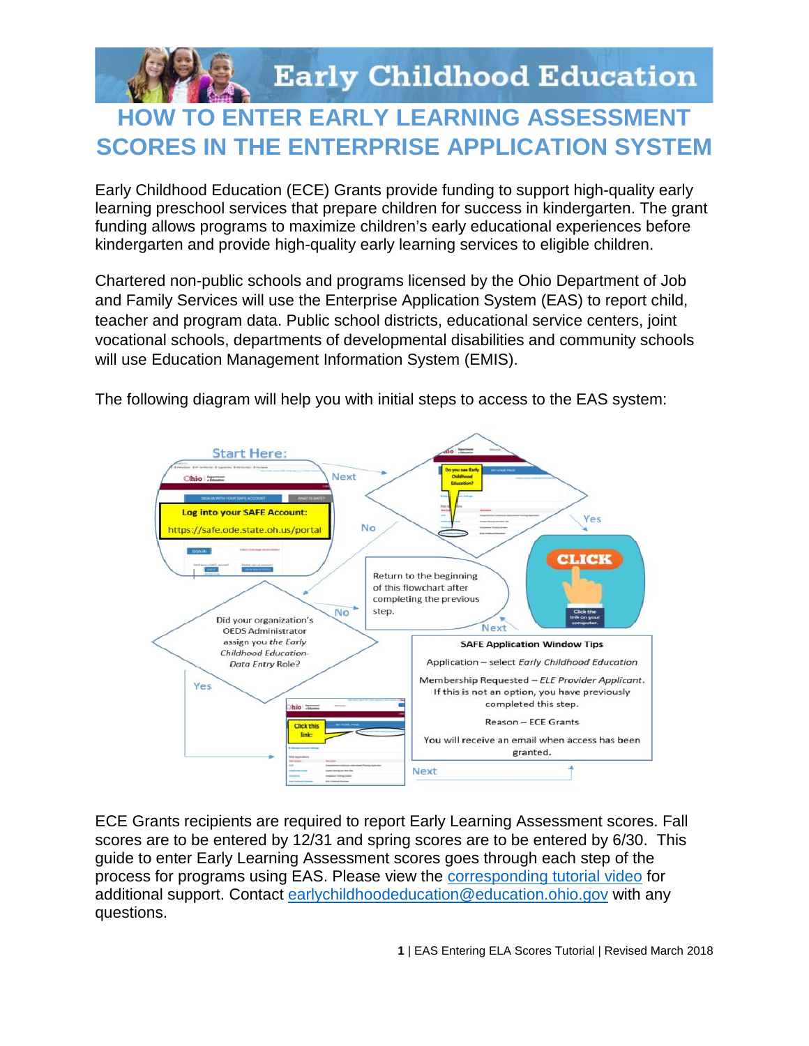

## **TO ENTER EARLY LEARNING ASSESSMENT SCORES IN THE ENTERPRISE APPLICATION SYSTEM**

Early Childhood Education (ECE) Grants provide funding to support high-quality early learning preschool services that prepare children for success in kindergarten. The grant funding allows programs to maximize children's early educational experiences before kindergarten and provide high-quality early learning services to eligible children.

Chartered non-public schools and programs licensed by the Ohio Department of Job and Family Services will use the Enterprise Application System (EAS) to report child, teacher and program data. Public school districts, educational service centers, ioint vocational schools, departments of developmental disabilities and community schools will use Education Management Information System (EMIS).





ECE Grants recipients are required to report Early Learning Assessment scores. Fall scores are to be entered by 12/31 and spring scores are to be entered by 6/30. This guide to enter Early Learning Assessment scores goes through each step of the process for programs using EAS. Please view the corresponding tutorial video for additional support. Contact earlychildhoodeducation@education.ohio.gov with any questions.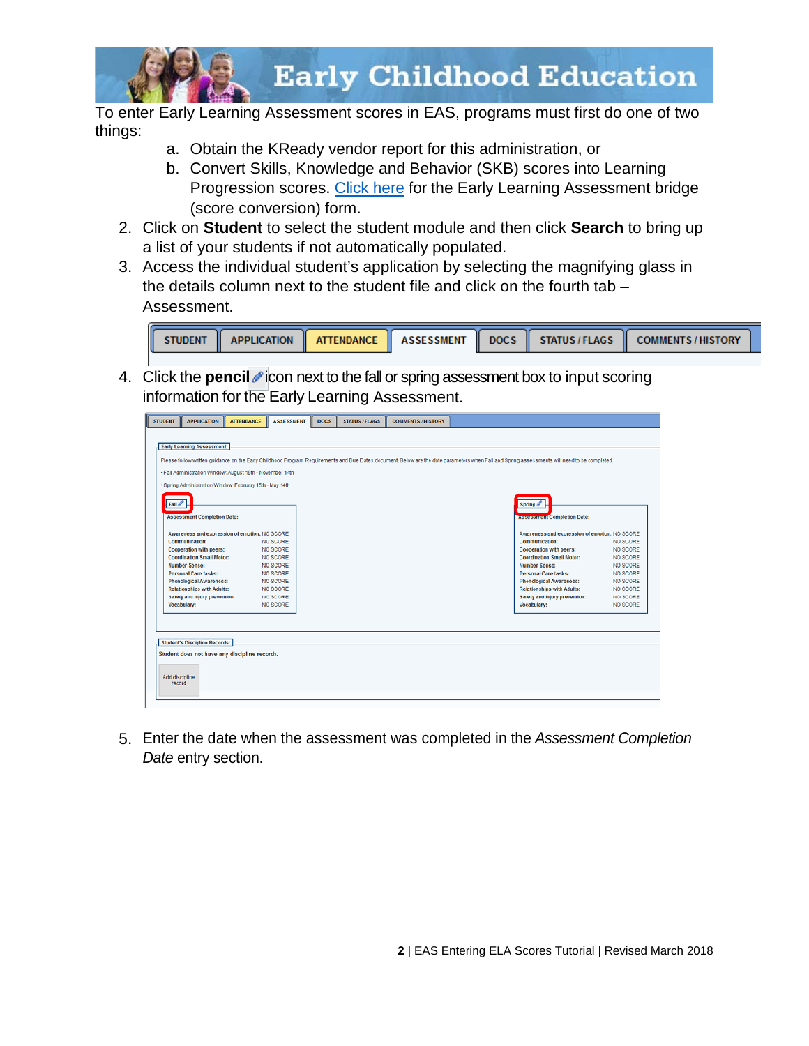

To enter Early Learning Assessment scores in EAS, programs must first do one of two things:

- a. Obtain the KReady vendor report for this administration, or
- b. Convert Skills, Knowledge and Behavior (SKB) scores into Learning Progression scores. Click here for the Early Learning Assessment bridge (score conversion) form.
- 2. Click on **Student** to select the student module and then click **Search** to bring up a list of your students if not automatically populated.
- 3. Access the individual student's application by selecting the magnifying glass in the details column next to the student file and click on the fourth tab -Assessment.



4. Click the **pencil** icon next to the fall or spring assessment box to input scoring information for the Early Learning Assessment.



5. Enter the date when the assessment was completed in the Assessment Completion Date entry section.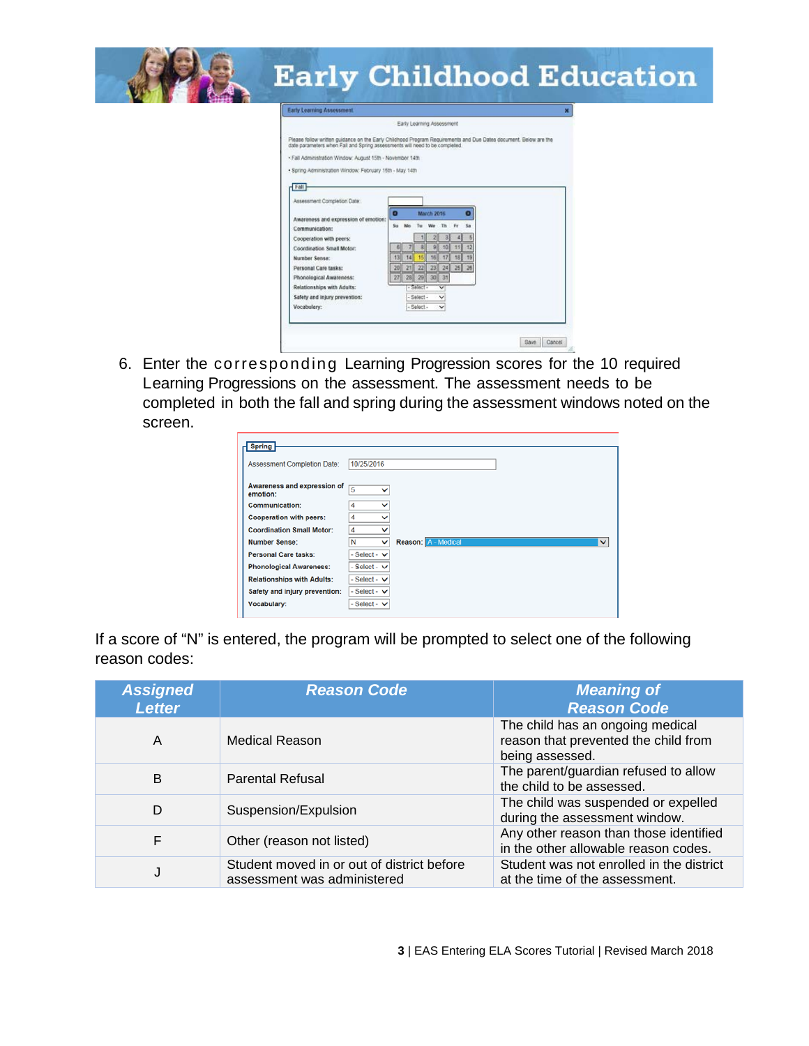| <b>Early Learning Assessment</b>                                                                                                                                                                                                                                                                                                                                                                                                                                                                                                                                                                                                                                                                                                                                                                                                            |
|---------------------------------------------------------------------------------------------------------------------------------------------------------------------------------------------------------------------------------------------------------------------------------------------------------------------------------------------------------------------------------------------------------------------------------------------------------------------------------------------------------------------------------------------------------------------------------------------------------------------------------------------------------------------------------------------------------------------------------------------------------------------------------------------------------------------------------------------|
| Early Learning Assessment<br>Please follow written guidance on the Early Childhood Program Requirements and Due Dates document. Below are the<br>date parameters when Fall and Spring assessments will need to be completed.<br>- Fall Administration Window: August 15th - November 14th<br>. Spring Administration Window: February 15th - May 14th<br>$F$ all<br>Assessment Completion Date:<br>March 2015<br>$\bullet$<br>Awareness and expression of emotion:<br>Th.<br>F <sub>0</sub><br>Sa<br>Sta.<br>Communication:<br>Cooperation with peers:<br>101<br>12<br>Coordination Small Motor:<br>14 15 16 17 18<br>131<br>19<br>Number Sense:<br>21 22 23 24 25<br>20<br>26<br>Personal Care tasks:<br>27 28 29 30 31<br>Phonological Awareness:<br>Relationships with Adults:<br>- Select -<br>Safety and injury prevention:<br>Select- |

6. Enter the corresponding Learning Progression scores for the 10 required Learning Progressions on the assessment. The assessment needs to be completed in both the fall and spring during the assessment windows noted on the screen.

| <b>Assessment Completion Date:</b> | 10/25/2016          |              |                            |              |
|------------------------------------|---------------------|--------------|----------------------------|--------------|
| Awareness and expression of        | 5                   |              |                            |              |
| emotion:                           |                     | v            |                            |              |
| Communication:                     | 4                   | $\checkmark$ |                            |              |
| <b>Cooperation with peers:</b>     | 4                   | $\checkmark$ |                            |              |
| <b>Coordination Small Motor:</b>   | 4                   | $\checkmark$ |                            |              |
| <b>Number Sense:</b>               | N                   | $\checkmark$ | <b>Reason: A - Medical</b> | $\checkmark$ |
| <b>Personal Care tasks:</b>        | - Select - $\vee$   |              |                            |              |
| <b>Phonological Awareness:</b>     | - Select - $\vee$   |              |                            |              |
| <b>Relationships with Adults:</b>  | - Select - $\vee$   |              |                            |              |
| Safety and injury prevention:      | - Select - $\vee$   |              |                            |              |
| Vocabulary:                        | $-$ Select - $\vee$ |              |                            |              |

If a score of "N" is entered, the program will be prompted to select one of the following reason codes:

| <b>Assigned</b><br><b>Letter</b> | <b>Reason Code</b>                                                        | <b>Meaning of</b><br><b>Reason Code</b>                                                     |
|----------------------------------|---------------------------------------------------------------------------|---------------------------------------------------------------------------------------------|
| A                                | <b>Medical Reason</b>                                                     | The child has an ongoing medical<br>reason that prevented the child from<br>being assessed. |
| B                                | <b>Parental Refusal</b>                                                   | The parent/guardian refused to allow<br>the child to be assessed.                           |
| D                                | Suspension/Expulsion                                                      | The child was suspended or expelled<br>during the assessment window.                        |
| F                                | Other (reason not listed)                                                 | Any other reason than those identified<br>in the other allowable reason codes.              |
| J                                | Student moved in or out of district before<br>assessment was administered | Student was not enrolled in the district<br>at the time of the assessment.                  |